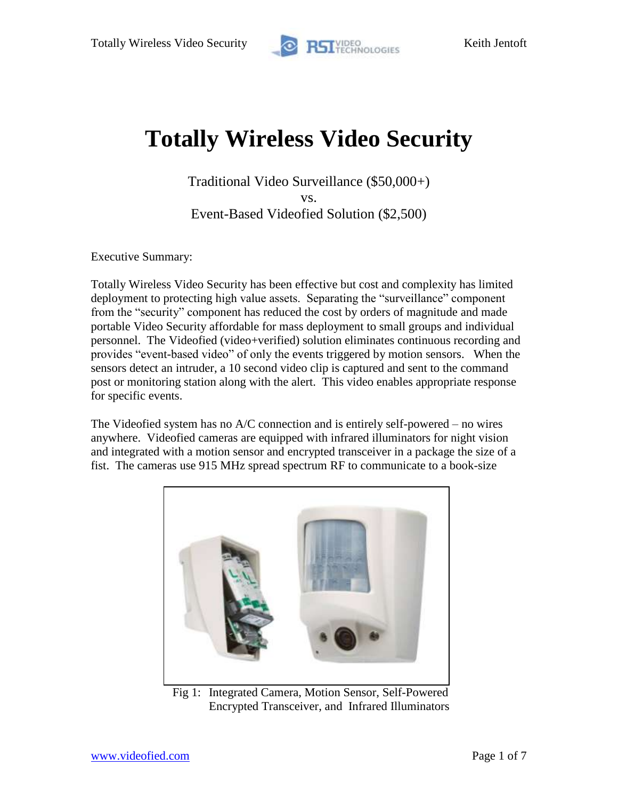

# **Totally Wireless Video Security**

Traditional Video Surveillance (\$50,000+) vs. Event-Based Videofied Solution (\$2,500)

Executive Summary:

Totally Wireless Video Security has been effective but cost and complexity has limited deployment to protecting high value assets. Separating the "surveillance" component from the "security" component has reduced the cost by orders of magnitude and made portable Video Security affordable for mass deployment to small groups and individual personnel. The Videofied (video+verified) solution eliminates continuous recording and provides "event-based video" of only the events triggered by motion sensors. When the sensors detect an intruder, a 10 second video clip is captured and sent to the command post or monitoring station along with the alert. This video enables appropriate response for specific events.

The Videofied system has no A/C connection and is entirely self-powered – no wires anywhere. Videofied cameras are equipped with infrared illuminators for night vision and integrated with a motion sensor and encrypted transceiver in a package the size of a fist. The cameras use 915 MHz spread spectrum RF to communicate to a book-size



Fig 1: Integrated Camera, Motion Sensor, Self-Powered Encrypted Transceiver, and Infrared Illuminators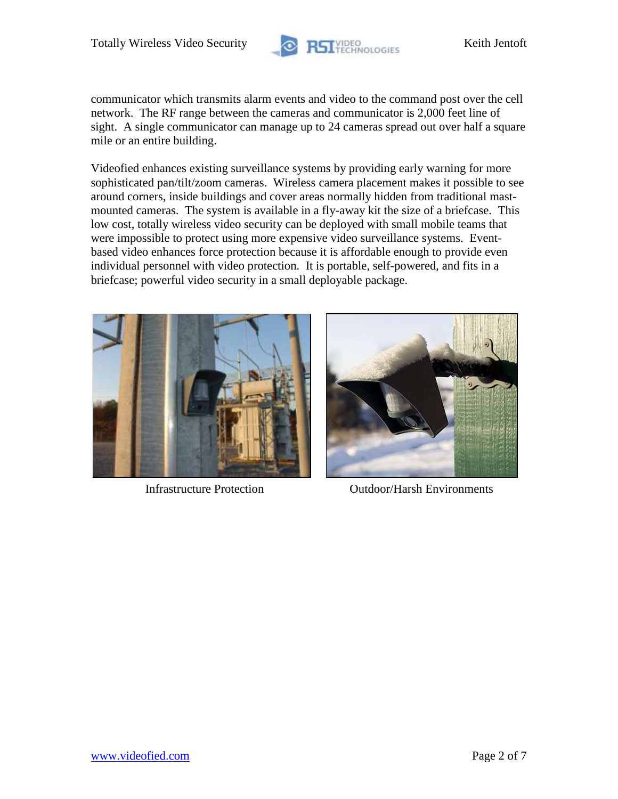

communicator which transmits alarm events and video to the command post over the cell network. The RF range between the cameras and communicator is 2,000 feet line of sight. A single communicator can manage up to 24 cameras spread out over half a square mile or an entire building.

Videofied enhances existing surveillance systems by providing early warning for more sophisticated pan/tilt/zoom cameras. Wireless camera placement makes it possible to see around corners, inside buildings and cover areas normally hidden from traditional mastmounted cameras. The system is available in a fly-away kit the size of a briefcase. This low cost, totally wireless video security can be deployed with small mobile teams that were impossible to protect using more expensive video surveillance systems. Eventbased video enhances force protection because it is affordable enough to provide even individual personnel with video protection. It is portable, self-powered, and fits in a briefcase; powerful video security in a small deployable package.





Infrastructure Protection Outdoor/Harsh Environments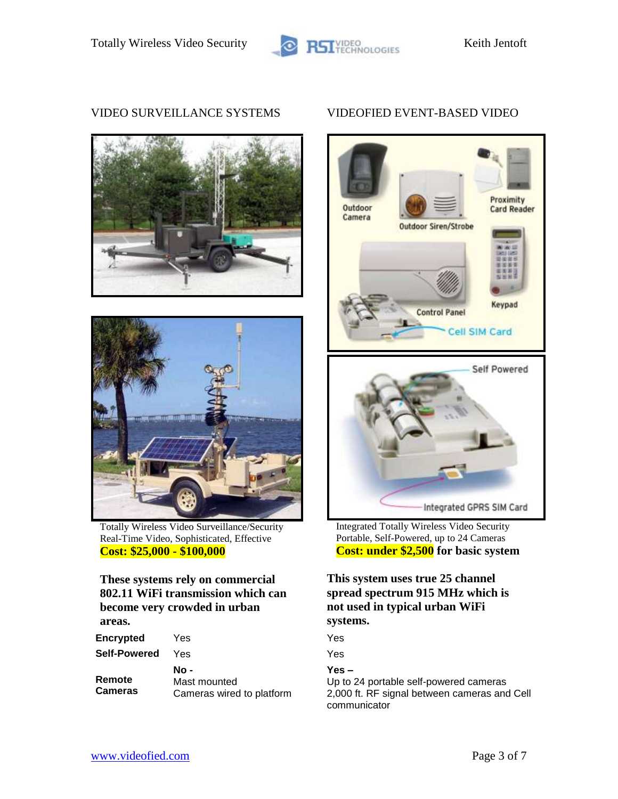





Totally Wireless Video Surveillance/Security Real-Time Video, Sophisticated, Effective **Cost: \$25,000 - \$100,000**

#### **These systems rely on commercial 802.11 WiFi transmission which can become very crowded in urban areas.**

| <b>Encrypted</b>         | Yes                                               | Yes                 |
|--------------------------|---------------------------------------------------|---------------------|
| <b>Self-Powered</b>      | Yes                                               | Yes                 |
| Remote<br><b>Cameras</b> | No -<br>Mast mounted<br>Cameras wired to platform | Yes<br>Up 1<br>2,00 |

## VIDEO SURVEILLANCE SYSTEMS VIDEOFIED EVENT-BASED VIDEO



Integrated Totally Wireless Video Security Portable, Self-Powered, up to 24 Cameras **Cost: under \$2,500 for basic system**

# **This system uses true 25 channel spread spectrum 915 MHz which is not used in typical urban WiFi systems.**

### **Yes –**

Up to 24 portable self-powered cameras 2,000 ft. RF signal between cameras and Cell communicator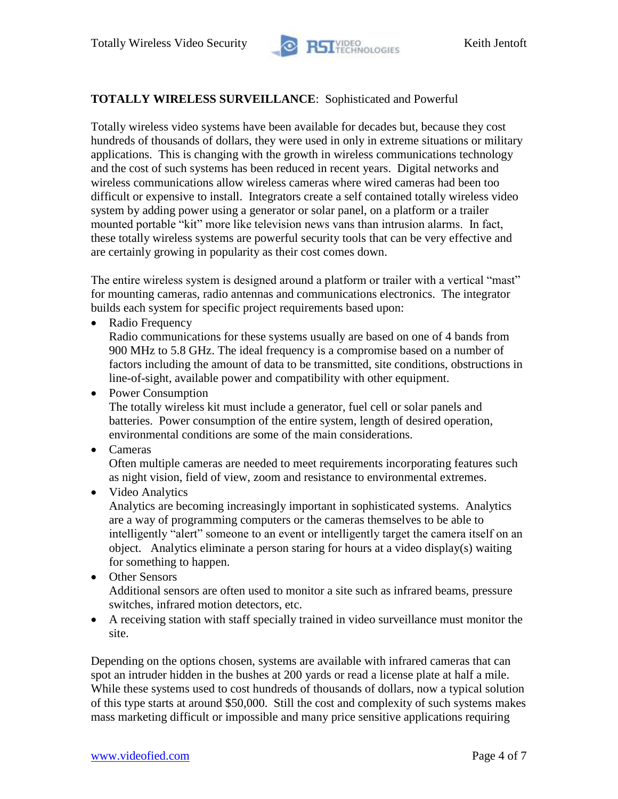

# **TOTALLY WIRELESS SURVEILLANCE**: Sophisticated and Powerful

Totally wireless video systems have been available for decades but, because they cost hundreds of thousands of dollars, they were used in only in extreme situations or military applications. This is changing with the growth in wireless communications technology and the cost of such systems has been reduced in recent years. Digital networks and wireless communications allow wireless cameras where wired cameras had been too difficult or expensive to install. Integrators create a self contained totally wireless video system by adding power using a generator or solar panel, on a platform or a trailer mounted portable "kit" more like television news vans than intrusion alarms. In fact, these totally wireless systems are powerful security tools that can be very effective and are certainly growing in popularity as their cost comes down.

The entire wireless system is designed around a platform or trailer with a vertical "mast" for mounting cameras, radio antennas and communications electronics. The integrator builds each system for specific project requirements based upon:

• Radio Frequency

Radio communications for these systems usually are based on one of 4 bands from 900 MHz to 5.8 GHz. The ideal frequency is a compromise based on a number of factors including the amount of data to be transmitted, site conditions, obstructions in line-of-sight, available power and compatibility with other equipment.

• Power Consumption

The totally wireless kit must include a generator, fuel cell or solar panels and batteries. Power consumption of the entire system, length of desired operation, environmental conditions are some of the main considerations.

• Cameras

Often multiple cameras are needed to meet requirements incorporating features such as night vision, field of view, zoom and resistance to environmental extremes.

### • Video Analytics

Analytics are becoming increasingly important in sophisticated systems. Analytics are a way of programming computers or the cameras themselves to be able to intelligently "alert" someone to an event or intelligently target the camera itself on an object. Analytics eliminate a person staring for hours at a video display(s) waiting for something to happen.

- Other Sensors Additional sensors are often used to monitor a site such as infrared beams, pressure switches, infrared motion detectors, etc.
- A receiving station with staff specially trained in video surveillance must monitor the site.

Depending on the options chosen, systems are available with infrared cameras that can spot an intruder hidden in the bushes at 200 yards or read a license plate at half a mile. While these systems used to cost hundreds of thousands of dollars, now a typical solution of this type starts at around \$50,000. Still the cost and complexity of such systems makes mass marketing difficult or impossible and many price sensitive applications requiring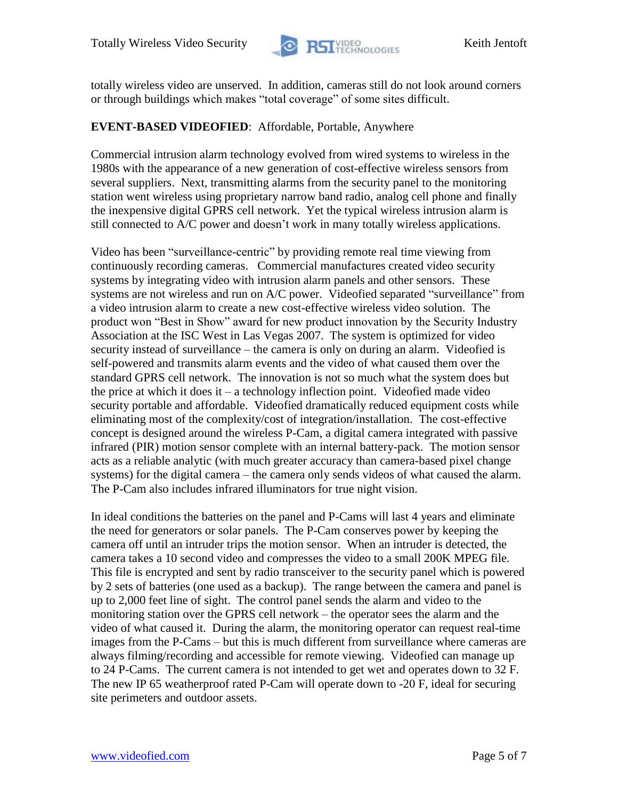

totally wireless video are unserved. In addition, cameras still do not look around corners or through buildings which makes "total coverage" of some sites difficult.

# **EVENT-BASED VIDEOFIED**: Affordable, Portable, Anywhere

Commercial intrusion alarm technology evolved from wired systems to wireless in the 1980s with the appearance of a new generation of cost-effective wireless sensors from several suppliers. Next, transmitting alarms from the security panel to the monitoring station went wireless using proprietary narrow band radio, analog cell phone and finally the inexpensive digital GPRS cell network. Yet the typical wireless intrusion alarm is still connected to A/C power and doesn't work in many totally wireless applications.

Video has been "surveillance-centric" by providing remote real time viewing from continuously recording cameras. Commercial manufactures created video security systems by integrating video with intrusion alarm panels and other sensors. These systems are not wireless and run on A/C power. Videofied separated "surveillance" from a video intrusion alarm to create a new cost-effective wireless video solution. The product won "Best in Show" award for new product innovation by the Security Industry Association at the ISC West in Las Vegas 2007. The system is optimized for video security instead of surveillance – the camera is only on during an alarm. Videofied is self-powered and transmits alarm events and the video of what caused them over the standard GPRS cell network. The innovation is not so much what the system does but the price at which it does it – a technology inflection point. Videofied made video security portable and affordable. Videofied dramatically reduced equipment costs while eliminating most of the complexity/cost of integration/installation. The cost-effective concept is designed around the wireless P-Cam, a digital camera integrated with passive infrared (PIR) motion sensor complete with an internal battery-pack. The motion sensor acts as a reliable analytic (with much greater accuracy than camera-based pixel change systems) for the digital camera – the camera only sends videos of what caused the alarm. The P-Cam also includes infrared illuminators for true night vision.

In ideal conditions the batteries on the panel and P-Cams will last 4 years and eliminate the need for generators or solar panels. The P-Cam conserves power by keeping the camera off until an intruder trips the motion sensor. When an intruder is detected, the camera takes a 10 second video and compresses the video to a small 200K MPEG file. This file is encrypted and sent by radio transceiver to the security panel which is powered by 2 sets of batteries (one used as a backup). The range between the camera and panel is up to 2,000 feet line of sight. The control panel sends the alarm and video to the monitoring station over the GPRS cell network – the operator sees the alarm and the video of what caused it. During the alarm, the monitoring operator can request real-time images from the P-Cams – but this is much different from surveillance where cameras are always filming/recording and accessible for remote viewing. Videofied can manage up to 24 P-Cams. The current camera is not intended to get wet and operates down to 32 F. The new IP 65 weatherproof rated P-Cam will operate down to -20 F, ideal for securing site perimeters and outdoor assets.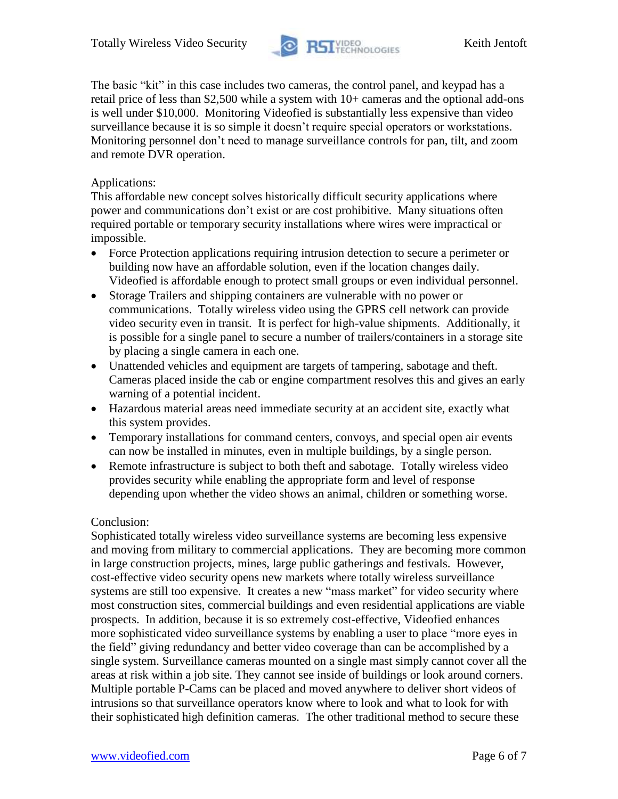

The basic "kit" in this case includes two cameras, the control panel, and keypad has a retail price of less than \$2,500 while a system with 10+ cameras and the optional add-ons is well under \$10,000. Monitoring Videofied is substantially less expensive than video surveillance because it is so simple it doesn't require special operators or workstations. Monitoring personnel don't need to manage surveillance controls for pan, tilt, and zoom and remote DVR operation.

# Applications:

This affordable new concept solves historically difficult security applications where power and communications don't exist or are cost prohibitive. Many situations often required portable or temporary security installations where wires were impractical or impossible.

- Force Protection applications requiring intrusion detection to secure a perimeter or building now have an affordable solution, even if the location changes daily. Videofied is affordable enough to protect small groups or even individual personnel.
- Storage Trailers and shipping containers are vulnerable with no power or communications. Totally wireless video using the GPRS cell network can provide video security even in transit. It is perfect for high-value shipments. Additionally, it is possible for a single panel to secure a number of trailers/containers in a storage site by placing a single camera in each one.
- Unattended vehicles and equipment are targets of tampering, sabotage and theft. Cameras placed inside the cab or engine compartment resolves this and gives an early warning of a potential incident.
- Hazardous material areas need immediate security at an accident site, exactly what this system provides.
- Temporary installations for command centers, convoys, and special open air events can now be installed in minutes, even in multiple buildings, by a single person.
- Remote infrastructure is subject to both theft and sabotage. Totally wireless video provides security while enabling the appropriate form and level of response depending upon whether the video shows an animal, children or something worse.

### Conclusion:

Sophisticated totally wireless video surveillance systems are becoming less expensive and moving from military to commercial applications. They are becoming more common in large construction projects, mines, large public gatherings and festivals. However, cost-effective video security opens new markets where totally wireless surveillance systems are still too expensive. It creates a new "mass market" for video security where most construction sites, commercial buildings and even residential applications are viable prospects. In addition, because it is so extremely cost-effective, Videofied enhances more sophisticated video surveillance systems by enabling a user to place "more eyes in the field" giving redundancy and better video coverage than can be accomplished by a single system. Surveillance cameras mounted on a single mast simply cannot cover all the areas at risk within a job site. They cannot see inside of buildings or look around corners. Multiple portable P-Cams can be placed and moved anywhere to deliver short videos of intrusions so that surveillance operators know where to look and what to look for with their sophisticated high definition cameras. The other traditional method to secure these